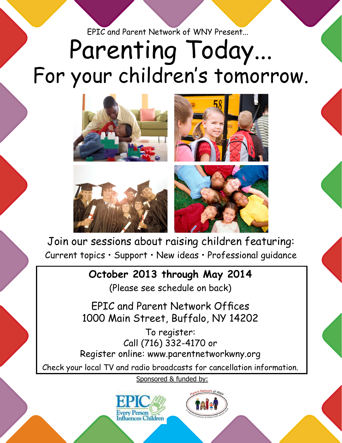EPIC and Parent Network of WNY Present...

## Parenting Today... For your children's tomorrow.



Join our sessions about raising children featuring: Current topics • Support • New ideas • Professional guidance

## **October 2013 through May 2014**

(Please see schedule on back)

EPIC and Parent Network Offices 1000 Main Street, Buffalo, NY 14202

To register: Call (716) 332-4170 or Register online: www.parentnetworkwny.org

Check your local TV and radio broadcasts for cancellation information.

Sponsored & funded by: